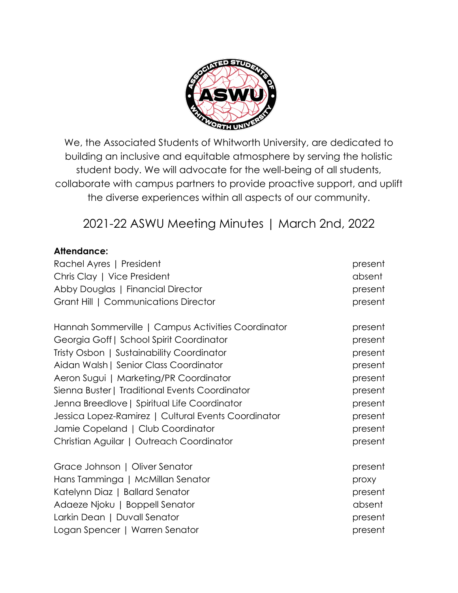

We, the Associated Students of Whitworth University, are dedicated to building an inclusive and equitable atmosphere by serving the holistic student body. We will advocate for the well-being of all students, collaborate with campus partners to provide proactive support, and uplift the diverse experiences within all aspects of our community.

2021-22 ASWU Meeting Minutes | March 2nd, 2022

## **Attendance:**

| Rachel Ayres   President                            | present |
|-----------------------------------------------------|---------|
| Chris Clay   Vice President                         | absent  |
| Abby Douglas   Financial Director                   | present |
| Grant Hill   Communications Director                | present |
| Hannah Sommerville   Campus Activities Coordinator  | present |
| Georgia Goff   School Spirit Coordinator            | present |
| Tristy Osbon   Sustainability Coordinator           | present |
| Aidan Walsh   Senior Class Coordinator              | present |
| Aeron Sugui   Marketing/PR Coordinator              | present |
| Sienna Buster   Traditional Events Coordinator      | present |
| Jenna Breedlove   Spiritual Life Coordinator        | present |
| Jessica Lopez-Ramirez   Cultural Events Coordinator | present |
| Jamie Copeland   Club Coordinator                   | present |
| Christian Aguilar   Outreach Coordinator            | present |
| Grace Johnson   Oliver Senator                      | present |
| Hans Tamminga   McMillan Senator                    | proxy   |
| Katelynn Diaz   Ballard Senator                     | present |
| Adaeze Njoku   Boppell Senator                      | absent  |
| Larkin Dean   Duvall Senator                        | present |
| Logan Spencer   Warren Senator                      | present |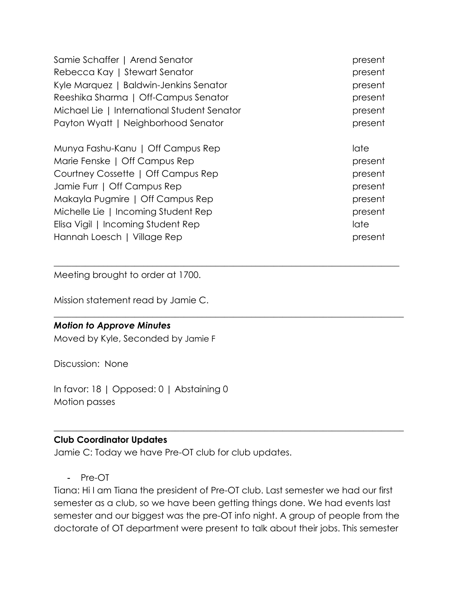| Samie Schaffer   Arend Senator              | present |
|---------------------------------------------|---------|
| Rebecca Kay   Stewart Senator               | present |
| Kyle Marquez   Baldwin-Jenkins Senator      | present |
| Reeshika Sharma   Off-Campus Senator        | present |
| Michael Lie   International Student Senator | present |
| Payton Wyatt   Neighborhood Senator         | present |
| Munya Fashu-Kanu   Off Campus Rep           | late    |
| Marie Fenske   Off Campus Rep               | present |
| Courtney Cossette   Off Campus Rep          | present |
| Jamie Furr   Off Campus Rep                 | present |
| Makayla Pugmire   Off Campus Rep            | present |
| Michelle Lie   Incoming Student Rep         | present |
| Elisa Vigil   Incoming Student Rep          | late    |
| Hannah Loesch   Village Rep                 | present |

 $\_$  , and the set of the set of the set of the set of the set of the set of the set of the set of the set of the set of the set of the set of the set of the set of the set of the set of the set of the set of the set of th

\_\_\_\_\_\_\_\_\_\_\_\_\_\_\_\_\_\_\_\_\_\_\_\_\_\_\_\_\_\_\_\_\_\_\_\_\_\_\_\_\_\_\_\_\_\_\_\_\_\_\_\_\_\_\_\_\_\_\_\_\_\_\_\_\_\_\_\_\_\_\_\_\_\_\_\_\_\_

Meeting brought to order at 1700.

Mission statement read by Jamie C.

#### *Motion to Approve Minutes*

Moved by Kyle, Seconded by Jamie F

Discussion: None

In favor: 18 | Opposed: 0 | Abstaining 0 Motion passes

#### **Club Coordinator Updates**

Jamie C: Today we have Pre-OT club for club updates.

- Pre-OT

Tiana: Hi I am Tiana the president of Pre-OT club. Last semester we had our first semester as a club, so we have been getting things done. We had events last semester and our biggest was the pre-OT info night. A group of people from the doctorate of OT department were present to talk about their jobs. This semester

 $\_$  , and the set of the set of the set of the set of the set of the set of the set of the set of the set of the set of the set of the set of the set of the set of the set of the set of the set of the set of the set of th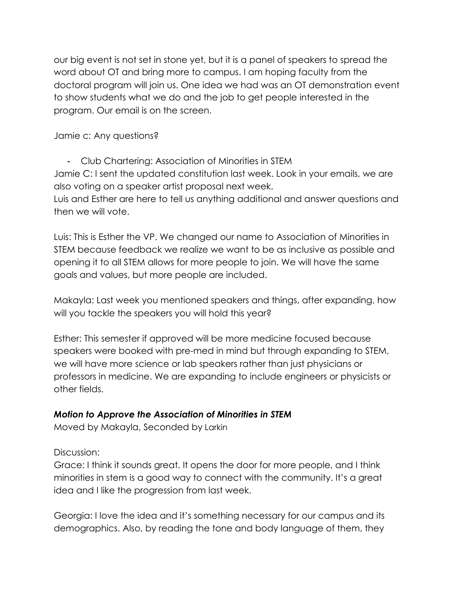our big event is not set in stone yet, but it is a panel of speakers to spread the word about OT and bring more to campus. I am hoping faculty from the doctoral program will join us. One idea we had was an OT demonstration event to show students what we do and the job to get people interested in the program. Our email is on the screen.

Jamie c: Any questions?

- Club Chartering: Association of Minorities in STEM Jamie C: I sent the updated constitution last week. Look in your emails, we are also voting on a speaker artist proposal next week. Luis and Esther are here to tell us anything additional and answer questions and

then we will vote. Luis: This is Esther the VP. We changed our name to Association of Minorities in

STEM because feedback we realize we want to be as inclusive as possible and opening it to all STEM allows for more people to join. We will have the same goals and values, but more people are included.

Makayla: Last week you mentioned speakers and things, after expanding, how will you tackle the speakers you will hold this year?

Esther: This semester if approved will be more medicine focused because speakers were booked with pre-med in mind but through expanding to STEM, we will have more science or lab speakers rather than just physicians or professors in medicine. We are expanding to include engineers or physicists or other fields.

# *Motion to Approve the Association of Minorities in STEM*

Moved by Makayla, Seconded by Larkin

Discussion:

Grace: I think it sounds great. It opens the door for more people, and I think minorities in stem is a good way to connect with the community. It's a great idea and I like the progression from last week.

Georgia: I love the idea and it's something necessary for our campus and its demographics. Also, by reading the tone and body language of them, they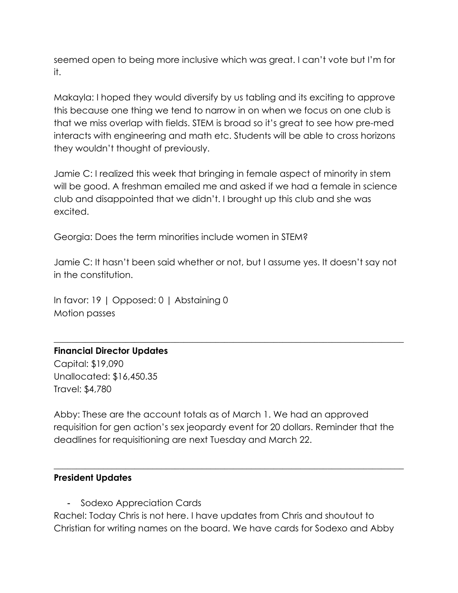seemed open to being more inclusive which was great. I can't vote but I'm for it.

Makayla: I hoped they would diversify by us tabling and its exciting to approve this because one thing we tend to narrow in on when we focus on one club is that we miss overlap with fields. STEM is broad so it's great to see how pre-med interacts with engineering and math etc. Students will be able to cross horizons they wouldn't thought of previously.

Jamie C: I realized this week that bringing in female aspect of minority in stem will be good. A freshman emailed me and asked if we had a female in science club and disappointed that we didn't. I brought up this club and she was excited.

Georgia: Does the term minorities include women in STEM?

Jamie C: It hasn't been said whether or not, but I assume yes. It doesn't say not in the constitution.

 $\_$  , and the set of the set of the set of the set of the set of the set of the set of the set of the set of the set of the set of the set of the set of the set of the set of the set of the set of the set of the set of th

In favor: 19 | Opposed: 0 | Abstaining 0 Motion passes

# **Financial Director Updates**

Capital: \$19,090 Unallocated: \$16,450.35 Travel: \$4,780

Abby: These are the account totals as of March 1. We had an approved requisition for gen action's sex jeopardy event for 20 dollars. Reminder that the deadlines for requisitioning are next Tuesday and March 22.

 $\_$  , and the set of the set of the set of the set of the set of the set of the set of the set of the set of the set of the set of the set of the set of the set of the set of the set of the set of the set of the set of th

#### **President Updates**

- Sodexo Appreciation Cards

Rachel: Today Chris is not here. I have updates from Chris and shoutout to Christian for writing names on the board. We have cards for Sodexo and Abby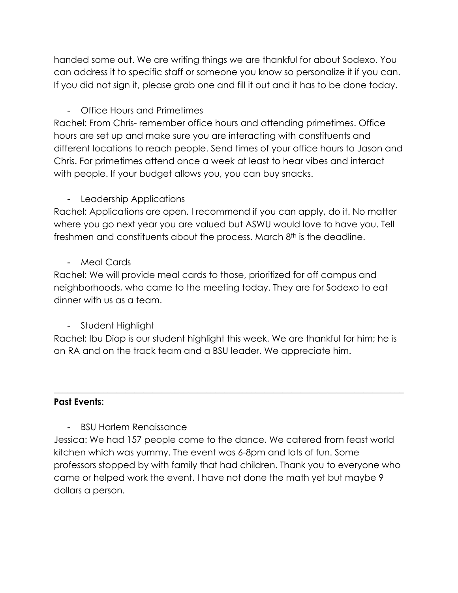handed some out. We are writing things we are thankful for about Sodexo. You can address it to specific staff or someone you know so personalize it if you can. If you did not sign it, please grab one and fill it out and it has to be done today.

- Office Hours and Primetimes

Rachel: From Chris- remember office hours and attending primetimes. Office hours are set up and make sure you are interacting with constituents and different locations to reach people. Send times of your office hours to Jason and Chris. For primetimes attend once a week at least to hear vibes and interact with people. If your budget allows you, you can buy snacks.

# - Leadership Applications

Rachel: Applications are open. I recommend if you can apply, do it. No matter where you go next year you are valued but ASWU would love to have you. Tell freshmen and constituents about the process. March  $8<sup>th</sup>$  is the deadline.

- Meal Cards

Rachel: We will provide meal cards to those, prioritized for off campus and neighborhoods, who came to the meeting today. They are for Sodexo to eat dinner with us as a team.

- Student Highlight

Rachel: Ibu Diop is our student highlight this week. We are thankful for him; he is an RA and on the track team and a BSU leader. We appreciate him.

 $\_$  , and the set of the set of the set of the set of the set of the set of the set of the set of the set of the set of the set of the set of the set of the set of the set of the set of the set of the set of the set of th

#### **Past Events:**

- BSU Harlem Renaissance

Jessica: We had 157 people come to the dance. We catered from feast world kitchen which was yummy. The event was 6-8pm and lots of fun. Some professors stopped by with family that had children. Thank you to everyone who came or helped work the event. I have not done the math yet but maybe 9 dollars a person.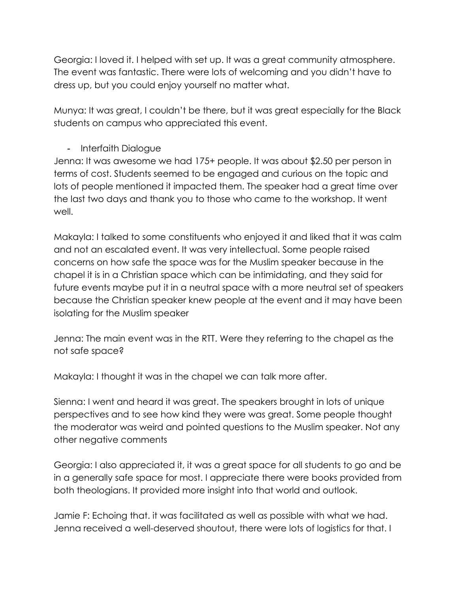Georgia: I loved it. I helped with set up. It was a great community atmosphere. The event was fantastic. There were lots of welcoming and you didn't have to dress up, but you could enjoy yourself no matter what.

Munya: It was great, I couldn't be there, but it was great especially for the Black students on campus who appreciated this event.

# - Interfaith Dialogue

Jenna: It was awesome we had 175+ people. It was about \$2.50 per person in terms of cost. Students seemed to be engaged and curious on the topic and lots of people mentioned it impacted them. The speaker had a great time over the last two days and thank you to those who came to the workshop. It went well.

Makayla: I talked to some constituents who enjoyed it and liked that it was calm and not an escalated event. It was very intellectual. Some people raised concerns on how safe the space was for the Muslim speaker because in the chapel it is in a Christian space which can be intimidating, and they said for future events maybe put it in a neutral space with a more neutral set of speakers because the Christian speaker knew people at the event and it may have been isolating for the Muslim speaker

Jenna: The main event was in the RTT. Were they referring to the chapel as the not safe space?

Makayla: I thought it was in the chapel we can talk more after.

Sienna: I went and heard it was great. The speakers brought in lots of unique perspectives and to see how kind they were was great. Some people thought the moderator was weird and pointed questions to the Muslim speaker. Not any other negative comments

Georgia: I also appreciated it, it was a great space for all students to go and be in a generally safe space for most. I appreciate there were books provided from both theologians. It provided more insight into that world and outlook.

Jamie F: Echoing that. it was facilitated as well as possible with what we had. Jenna received a well-deserved shoutout, there were lots of logistics for that. I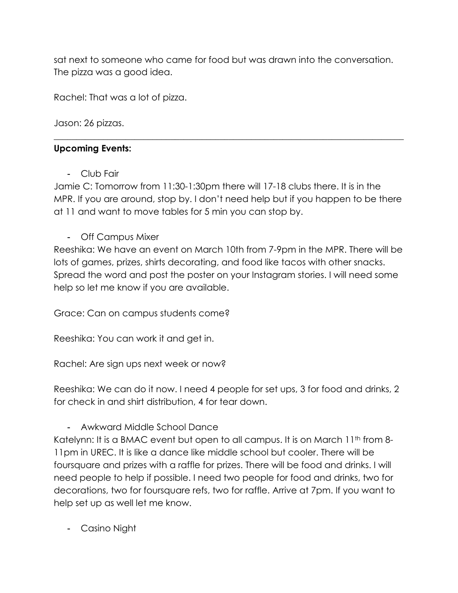sat next to someone who came for food but was drawn into the conversation. The pizza was a good idea.

Rachel: That was a lot of pizza.

Jason: 26 pizzas.

## **Upcoming Events:**

- Club Fair

Jamie C: Tomorrow from 11:30-1:30pm there will 17-18 clubs there. It is in the MPR. If you are around, stop by. I don't need help but if you happen to be there at 11 and want to move tables for 5 min you can stop by.

 $\_$  , and the set of the set of the set of the set of the set of the set of the set of the set of the set of the set of the set of the set of the set of the set of the set of the set of the set of the set of the set of th

- Off Campus Mixer

Reeshika: We have an event on March 10th from 7-9pm in the MPR. There will be lots of games, prizes, shirts decorating, and food like tacos with other snacks. Spread the word and post the poster on your Instagram stories. I will need some help so let me know if you are available.

Grace: Can on campus students come?

Reeshika: You can work it and get in.

Rachel: Are sign ups next week or now?

Reeshika: We can do it now. I need 4 people for set ups, 3 for food and drinks, 2 for check in and shirt distribution, 4 for tear down.

- Awkward Middle School Dance

Katelynn: It is a BMAC event but open to all campus. It is on March 11<sup>th</sup> from 8-11pm in UREC. It is like a dance like middle school but cooler. There will be foursquare and prizes with a raffle for prizes. There will be food and drinks. I will need people to help if possible. I need two people for food and drinks, two for decorations, two for foursquare refs, two for raffle. Arrive at 7pm. If you want to help set up as well let me know.

- Casino Night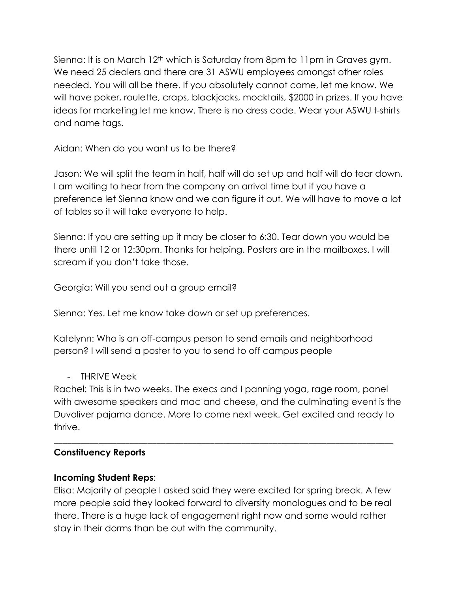Sienna: It is on March  $12<sup>th</sup>$  which is Saturday from 8pm to 11pm in Graves gym. We need 25 dealers and there are 31 ASWU employees amongst other roles needed. You will all be there. If you absolutely cannot come, let me know. We will have poker, roulette, craps, blackjacks, mocktails, \$2000 in prizes. If you have ideas for marketing let me know. There is no dress code. Wear your ASWU t-shirts and name tags.

Aidan: When do you want us to be there?

Jason: We will split the team in half, half will do set up and half will do tear down. I am waiting to hear from the company on arrival time but if you have a preference let Sienna know and we can figure it out. We will have to move a lot of tables so it will take everyone to help.

Sienna: If you are setting up it may be closer to 6:30. Tear down you would be there until 12 or 12:30pm. Thanks for helping. Posters are in the mailboxes. I will scream if you don't take those.

Georgia: Will you send out a group email?

Sienna: Yes. Let me know take down or set up preferences.

Katelynn: Who is an off-campus person to send emails and neighborhood person? I will send a poster to you to send to off campus people

- THRIVE Week

Rachel: This is in two weeks. The execs and I panning yoga, rage room, panel with awesome speakers and mac and cheese, and the culminating event is the Duvoliver pajama dance. More to come next week. Get excited and ready to thrive.

\_\_\_\_\_\_\_\_\_\_\_\_\_\_\_\_\_\_\_\_\_\_\_\_\_\_\_\_\_\_\_\_\_\_\_\_\_\_\_\_\_\_\_\_\_\_\_\_\_\_\_\_\_\_\_\_\_\_\_\_\_\_\_\_\_\_\_\_\_\_\_\_\_\_\_\_

# **Constituency Reports**

# **Incoming Student Reps**:

Elisa: Majority of people I asked said they were excited for spring break. A few more people said they looked forward to diversity monologues and to be real there. There is a huge lack of engagement right now and some would rather stay in their dorms than be out with the community.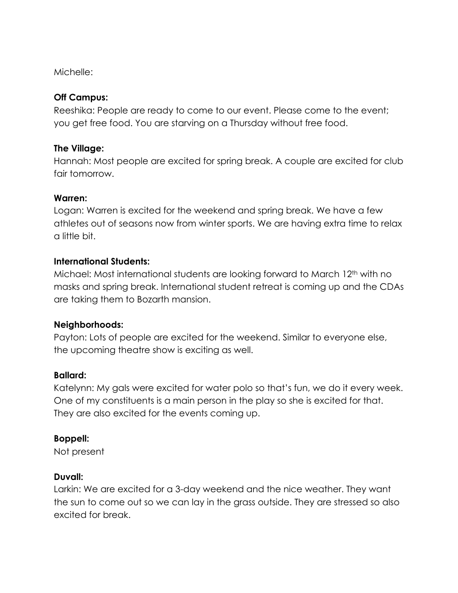Michelle:

#### **Off Campus:**

Reeshika: People are ready to come to our event. Please come to the event; you get free food. You are starving on a Thursday without free food.

## **The Village:**

Hannah: Most people are excited for spring break. A couple are excited for club fair tomorrow.

## **Warren:**

Logan: Warren is excited for the weekend and spring break. We have a few athletes out of seasons now from winter sports. We are having extra time to relax a little bit.

## **International Students:**

Michael: Most international students are looking forward to March 12<sup>th</sup> with no masks and spring break. International student retreat is coming up and the CDAs are taking them to Bozarth mansion.

# **Neighborhoods:**

Payton: Lots of people are excited for the weekend. Similar to everyone else, the upcoming theatre show is exciting as well.

# **Ballard:**

Katelynn: My gals were excited for water polo so that's fun, we do it every week. One of my constituents is a main person in the play so she is excited for that. They are also excited for the events coming up.

# **Boppell:**

Not present

#### **Duvall:**

Larkin: We are excited for a 3-day weekend and the nice weather. They want the sun to come out so we can lay in the grass outside. They are stressed so also excited for break.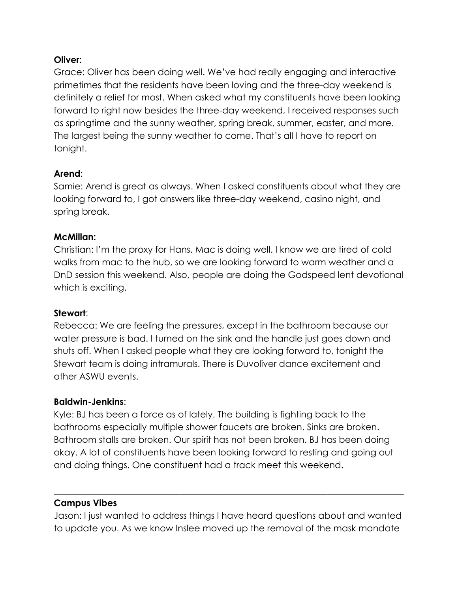#### **Oliver:**

Grace: Oliver has been doing well. We've had really engaging and interactive primetimes that the residents have been loving and the three-day weekend is definitely a relief for most. When asked what my constituents have been looking forward to right now besides the three-day weekend, I received responses such as springtime and the sunny weather, spring break, summer, easter, and more. The largest being the sunny weather to come. That's all I have to report on tonight.

# **Arend**:

Samie: Arend is great as always. When I asked constituents about what they are looking forward to, I got answers like three-day weekend, casino night, and spring break.

## **McMillan:**

Christian: I'm the proxy for Hans. Mac is doing well. I know we are tired of cold walks from mac to the hub, so we are looking forward to warm weather and a DnD session this weekend. Also, people are doing the Godspeed lent devotional which is exciting.

#### **Stewart**:

Rebecca: We are feeling the pressures, except in the bathroom because our water pressure is bad. I turned on the sink and the handle just goes down and shuts off. When I asked people what they are looking forward to, tonight the Stewart team is doing intramurals. There is Duvoliver dance excitement and other ASWU events.

#### **Baldwin-Jenkins**:

Kyle: BJ has been a force as of lately. The building is fighting back to the bathrooms especially multiple shower faucets are broken. Sinks are broken. Bathroom stalls are broken. Our spirit has not been broken. BJ has been doing okay. A lot of constituents have been looking forward to resting and going out and doing things. One constituent had a track meet this weekend.

# **Campus Vibes**

Jason: I just wanted to address things I have heard questions about and wanted to update you. As we know Inslee moved up the removal of the mask mandate

 $\_$  , and the set of the set of the set of the set of the set of the set of the set of the set of the set of the set of the set of the set of the set of the set of the set of the set of the set of the set of the set of th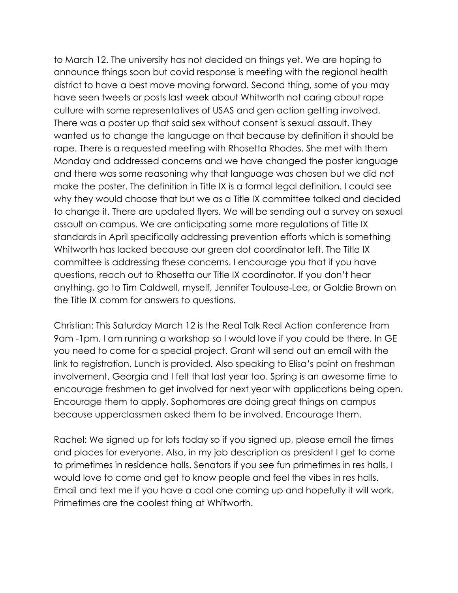to March 12. The university has not decided on things yet. We are hoping to announce things soon but covid response is meeting with the regional health district to have a best move moving forward. Second thing, some of you may have seen tweets or posts last week about Whitworth not caring about rape culture with some representatives of USAS and gen action getting involved. There was a poster up that said sex without consent is sexual assault. They wanted us to change the language on that because by definition it should be rape. There is a requested meeting with Rhosetta Rhodes. She met with them Monday and addressed concerns and we have changed the poster language and there was some reasoning why that language was chosen but we did not make the poster. The definition in Title IX is a formal legal definition. I could see why they would choose that but we as a Title IX committee talked and decided to change it. There are updated flyers. We will be sending out a survey on sexual assault on campus. We are anticipating some more regulations of Title IX standards in April specifically addressing prevention efforts which is something Whitworth has lacked because our green dot coordinator left. The Title IX committee is addressing these concerns. I encourage you that if you have questions, reach out to Rhosetta our Title IX coordinator. If you don't hear anything, go to Tim Caldwell, myself, Jennifer Toulouse-Lee, or Goldie Brown on the Title IX comm for answers to questions.

Christian: This Saturday March 12 is the Real Talk Real Action conference from 9am -1pm. I am running a workshop so I would love if you could be there. In GE you need to come for a special project. Grant will send out an email with the link to registration. Lunch is provided. Also speaking to Elisa's point on freshman involvement, Georgia and I felt that last year too. Spring is an awesome time to encourage freshmen to get involved for next year with applications being open. Encourage them to apply. Sophomores are doing great things on campus because upperclassmen asked them to be involved. Encourage them.

Rachel: We signed up for lots today so if you signed up, please email the times and places for everyone. Also, in my job description as president I get to come to primetimes in residence halls. Senators if you see fun primetimes in res halls, I would love to come and get to know people and feel the vibes in res halls. Email and text me if you have a cool one coming up and hopefully it will work. Primetimes are the coolest thing at Whitworth.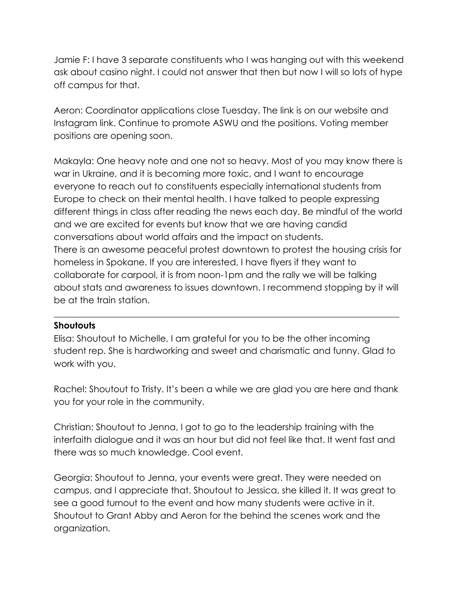Jamie F: I have 3 separate constituents who I was hanging out with this weekend ask about casino night. I could not answer that then but now I will so lots of hype off campus for that.

Aeron: Coordinator applications close Tuesday. The link is on our website and Instagram link. Continue to promote ASWU and the positions. Voting member positions are opening soon.

Makayla: One heavy note and one not so heavy. Most of you may know there is war in Ukraine, and it is becoming more toxic, and I want to encourage everyone to reach out to constituents especially international students from Europe to check on their mental health. I have talked to people expressing different things in class after reading the news each day. Be mindful of the world and we are excited for events but know that we are having candid conversations about world affairs and the impact on students. There is an awesome peaceful protest downtown to protest the housing crisis for homeless in Spokane. If you are interested, I have flyers if they want to collaborate for carpool, it is from noon-1pm and the rally we will be talking about stats and awareness to issues downtown. I recommend stopping by it will be at the train station.

#### **Shoutouts**

Elisa: Shoutout to Michelle, I am grateful for you to be the other incoming student rep. She is hardworking and sweet and charismatic and funny. Glad to work with you.

\_\_\_\_\_\_\_\_\_\_\_\_\_\_\_\_\_\_\_\_\_\_\_\_\_\_\_\_\_\_\_\_\_\_\_\_\_\_\_\_\_\_\_\_\_\_\_\_\_\_\_\_\_\_\_\_\_\_\_\_\_\_\_\_\_\_\_\_\_\_\_\_\_\_\_\_\_

Rachel: Shoutout to Tristy. It's been a while we are glad you are here and thank you for your role in the community.

Christian: Shoutout to Jenna, I got to go to the leadership training with the interfaith dialogue and it was an hour but did not feel like that. It went fast and there was so much knowledge. Cool event.

Georgia: Shoutout to Jenna, your events were great. They were needed on campus, and I appreciate that. Shoutout to Jessica, she killed it. It was great to see a good turnout to the event and how many students were active in it. Shoutout to Grant Abby and Aeron for the behind the scenes work and the organization.